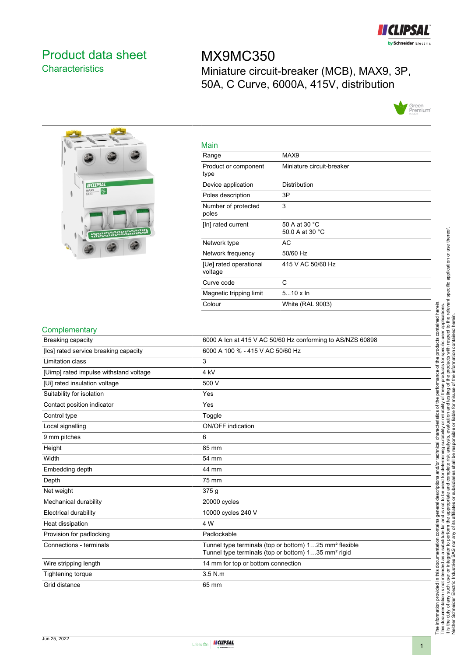

## <span id="page-0-0"></span>Product data sheet **Characteristics**

# MX9MC350 Miniature circuit-breaker (MCB), MAX9, 3P, 50A, C Curve, 6000A, 415V, distribution





| Main                              |                                  |
|-----------------------------------|----------------------------------|
| Range                             | MAX9                             |
| Product or component<br>type      | Miniature circuit-breaker        |
| Device application                | Distribution                     |
| Poles description                 | 3P                               |
| Number of protected<br>poles      | 3                                |
| [In] rated current                | 50 A at 30 °C<br>50.0 A at 30 °C |
| Network type                      | AC                               |
| Network frequency                 | 50/60 Hz                         |
| [Ue] rated operational<br>voltage | 415 V AC 50/60 Hz                |
| Curve code                        | C                                |
| Magnetic tripping limit           | $510 \times \ln$                 |
| Colour                            | <b>White (RAL 9003)</b>          |

#### **Complementary**

| Breaking capacity                      | 6000 A Icn at 415 V AC 50/60 Hz conforming to AS/NZS 60898                                                                            |
|----------------------------------------|---------------------------------------------------------------------------------------------------------------------------------------|
| [Ics] rated service breaking capacity  | 6000 A 100 % - 415 V AC 50/60 Hz                                                                                                      |
| <b>Limitation class</b>                | 3                                                                                                                                     |
| [Uimp] rated impulse withstand voltage | 4 kV                                                                                                                                  |
| [Ui] rated insulation voltage          | 500 V                                                                                                                                 |
| Suitability for isolation              | Yes                                                                                                                                   |
| Contact position indicator             | Yes                                                                                                                                   |
| Control type                           | Toggle                                                                                                                                |
| Local signalling                       | ON/OFF indication                                                                                                                     |
| 9 mm pitches                           | 6                                                                                                                                     |
| Height                                 | 85 mm                                                                                                                                 |
| Width                                  | 54 mm                                                                                                                                 |
| Embedding depth                        | 44 mm                                                                                                                                 |
| Depth                                  | 75 mm                                                                                                                                 |
| Net weight                             | 375g                                                                                                                                  |
| Mechanical durability                  | 20000 cycles                                                                                                                          |
| Electrical durability                  | 10000 cycles 240 V                                                                                                                    |
| Heat dissipation                       | 4 W                                                                                                                                   |
| Provision for padlocking               | Padlockable                                                                                                                           |
| Connections - terminals                | Tunnel type terminals (top or bottom) 125 mm <sup>2</sup> flexible<br>Tunnel type terminals (top or bottom) 135 mm <sup>2</sup> rigid |
| Wire stripping length                  | 14 mm for top or bottom connection                                                                                                    |
| Tightening torque                      | $3.5$ N.m.                                                                                                                            |
| Grid distance                          | 65 mm                                                                                                                                 |

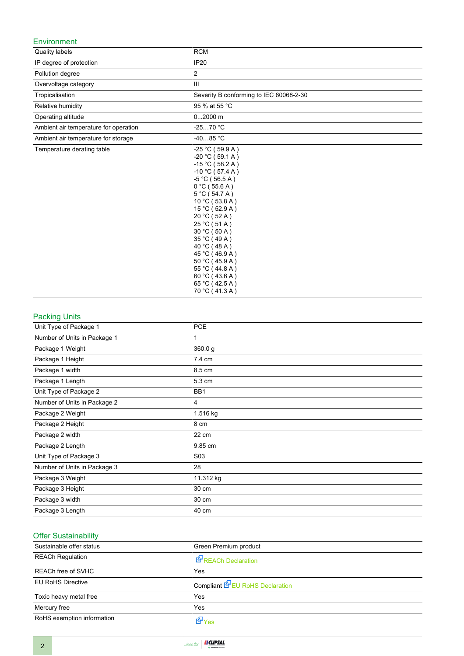### Environment

| Quality labels                        | <b>RCM</b>                                                                                                                                                                                                                                                                                                                                                                               |
|---------------------------------------|------------------------------------------------------------------------------------------------------------------------------------------------------------------------------------------------------------------------------------------------------------------------------------------------------------------------------------------------------------------------------------------|
| IP degree of protection               | <b>IP20</b>                                                                                                                                                                                                                                                                                                                                                                              |
| Pollution degree                      | 2                                                                                                                                                                                                                                                                                                                                                                                        |
| Overvoltage category                  | Ш                                                                                                                                                                                                                                                                                                                                                                                        |
| Tropicalisation                       | Severity B conforming to IEC 60068-2-30                                                                                                                                                                                                                                                                                                                                                  |
| Relative humidity                     | 95 % at 55 °C                                                                                                                                                                                                                                                                                                                                                                            |
| Operating altitude                    | $02000$ m                                                                                                                                                                                                                                                                                                                                                                                |
| Ambient air temperature for operation | $-2570 °C$                                                                                                                                                                                                                                                                                                                                                                               |
| Ambient air temperature for storage   | $-4085 °C$                                                                                                                                                                                                                                                                                                                                                                               |
| Temperature derating table            | $-25 °C (59.9 A)$<br>$-20 °C (59.1 A)$<br>$-15$ °C (58.2 A)<br>$-10$ °C (57.4 A)<br>$-5 °C$ (56.5 A)<br>$0^{\circ}$ C (55.6 A)<br>$5^{\circ}$ C (54.7 A)<br>10 °C (53.8 A)<br>15 °C (52.9 A)<br>20 °C (52 A)<br>25 °C (51 A)<br>30 °C (50 A)<br>35 °C (49 A)<br>40 °C (48 A)<br>45 °C (46.9 A)<br>50 °C (45.9 A)<br>55 °C (44.8 A)<br>60 °C (43.6 A)<br>65 °C (42.5 A)<br>70 °C (41.3 A) |

### Packing Units

| Unit Type of Package 1       | <b>PCE</b>       |
|------------------------------|------------------|
| Number of Units in Package 1 |                  |
| Package 1 Weight             | 360.0g           |
| Package 1 Height             | 7.4 cm           |
| Package 1 width              | 8.5 cm           |
| Package 1 Length             | 5.3 cm           |
| Unit Type of Package 2       | BB1              |
| Number of Units in Package 2 | 4                |
| Package 2 Weight             | 1.516 kg         |
| Package 2 Height             | 8 cm             |
| Package 2 width              | 22 cm            |
| Package 2 Length             | 9.85 cm          |
| Unit Type of Package 3       | S <sub>0</sub> 3 |
| Number of Units in Package 3 | 28               |
| Package 3 Weight             | 11.312 kg        |
| Package 3 Height             | 30 cm            |
| Package 3 width              | 30 cm            |
| Package 3 Length             | 40 cm            |

## Offer Sustainability

| Sustainable offer status   | Green Premium product                  |
|----------------------------|----------------------------------------|
| <b>REACh Regulation</b>    | REACh Declaration                      |
| REACh free of SVHC         | Yes                                    |
| <b>EU RoHS Directive</b>   | Compliant <b>E</b> EU RoHS Declaration |
| Toxic heavy metal free     | Yes                                    |
| Mercury free               | Yes                                    |
| RoHS exemption information | M <sup>y</sup> es                      |